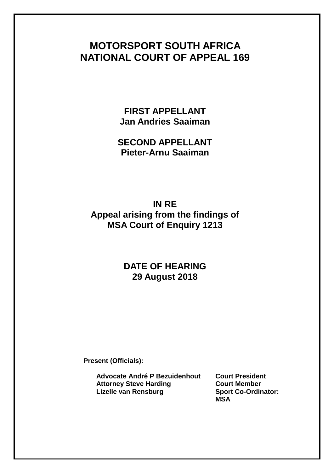# **MOTORSPORT SOUTH AFRICA NATIONAL COURT OF APPEAL 169**

**FIRST APPELLANT Jan Andries Saaiman**

**SECOND APPELLANT Pieter-Arnu Saaiman**

**IN RE Appeal arising from the findings of MSA Court of Enquiry 1213**

## **DATE OF HEARING 29 August 2018**

**Present (Officials):**

**Advocate André P Bezuidenhout Court President Attorney Steve Harding Court Member Lizelle van Rensburg Sport Co-Ordinator:** 

**MSA**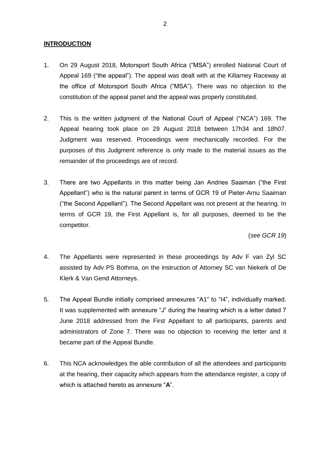### **INTRODUCTION**

- 1. On 29 August 2018, Motorsport South Africa ("MSA") enrolled National Court of Appeal 169 ("the appeal"). The appeal was dealt with at the Killarney Raceway at the office of Motorsport South Africa ("MSA"). There was no objection to the constitution of the appeal panel and the appeal was properly constituted.
- 2. This is the written judgment of the National Court of Appeal ("NCA") 169. The Appeal hearing took place on 29 August 2018 between 17h34 and 18h07. Judgment was reserved. Proceedings were mechanically recorded. For the purposes of this Judgment reference is only made to the material issues as the remainder of the proceedings are of record.
- 3. There are two Appellants in this matter being Jan Andries Saaiman ("the First Appellant") who is the natural parent in terms of GCR 19 of Pieter-Arnu Saaiman ("the Second Appellant"). The Second Appellant was not present at the hearing. In terms of GCR 19, the First Appellant is, for all purposes, deemed to be the competitor.

(*see GCR 19*)

- 4. The Appellants were represented in these proceedings by Adv F van Zyl SC assisted by Adv PS Bothma, on the instruction of Attorney SC van Niekerk of De Klerk & Van Gend Attorneys.
- 5. The Appeal Bundle initially comprised annexures "A1" to "I4", individually marked. It was supplemented with annexure "J" during the hearing which is a letter dated 7 June 2018 addressed from the First Appellant to all participants, parents and administrators of Zone 7. There was no objection to receiving the letter and it became part of the Appeal Bundle.
- 6. This NCA acknowledges the able contribution of all the attendees and participants at the hearing, their capacity which appears from the attendance register, a copy of which is attached hereto as annexure "**A**".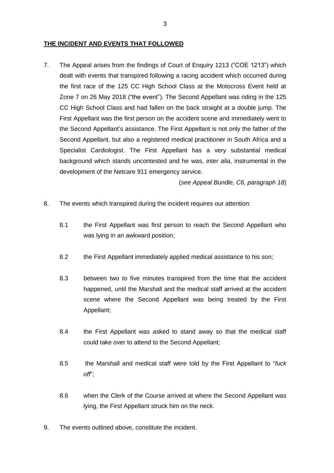#### **THE INCIDENT AND EVENTS THAT FOLLOWED**

7. The Appeal arises from the findings of Court of Enquiry 1213 ("COE 1213") which dealt with events that transpired following a racing accident which occurred during the first race of the 125 CC High School Class at the Motocross Event held at Zone 7 on 26 May 2018 ("the event"). The Second Appellant was riding in the 125 CC High School Class and had fallen on the back straight at a double jump. The First Appellant was the first person on the accident scene and immediately went to the Second Appellant's assistance. The First Appellant is not only the father of the Second Appellant, but also a registered medical practitioner in South Africa and a Specialist Cardiologist. The First Appellant has a very substantial medical background which stands uncontested and he was, *inter alia*, instrumental in the development of the Netcare 911 emergency service.

(*see Appeal Bundle, C6, paragraph 18*)

- 8. The events which transpired during the incident requires our attention:
	- 8.1 the First Appellant was first person to reach the Second Appellant who was lying in an awkward position;
	- 8.2 the First Appellant immediately applied medical assistance to his son;
	- 8.3 between two to five minutes transpired from the time that the accident happened, until the Marshall and the medical staff arrived at the accident scene where the Second Appellant was being treated by the First Appellant;
	- 8.4 the First Appellant was asked to stand away so that the medical staff could take over to attend to the Second Appellant;
	- 8.5 the Marshall and medical staff were told by the First Appellant to "*fuck off*";
	- 8.6 when the Clerk of the Course arrived at where the Second Appellant was lying, the First Appellant struck him on the neck.
- 9. The events outlined above, constitute the incident.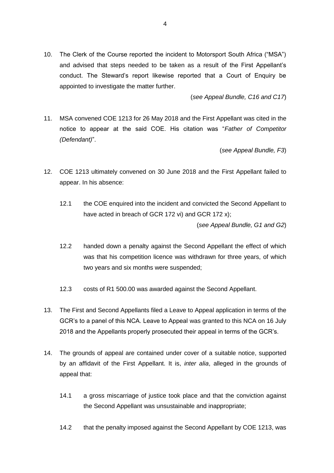10. The Clerk of the Course reported the incident to Motorsport South Africa ("MSA") and advised that steps needed to be taken as a result of the First Appellant's conduct. The Steward's report likewise reported that a Court of Enquiry be appointed to investigate the matter further.

(*see Appeal Bundle, C16 and C17*)

11. MSA convened COE 1213 for 26 May 2018 and the First Appellant was cited in the notice to appear at the said COE. His citation was "*Father of Competitor (Defendant)*".

(*see Appeal Bundle, F3*)

- 12. COE 1213 ultimately convened on 30 June 2018 and the First Appellant failed to appear. In his absence:
	- 12.1 the COE enquired into the incident and convicted the Second Appellant to have acted in breach of GCR 172 vi) and GCR 172 x); (*see Appeal Bundle, G1 and G2*)
	- 12.2 handed down a penalty against the Second Appellant the effect of which was that his competition licence was withdrawn for three years, of which two years and six months were suspended;
	- 12.3 costs of R1 500.00 was awarded against the Second Appellant.
- 13. The First and Second Appellants filed a Leave to Appeal application in terms of the GCR's to a panel of this NCA. Leave to Appeal was granted to this NCA on 16 July 2018 and the Appellants properly prosecuted their appeal in terms of the GCR's.
- 14. The grounds of appeal are contained under cover of a suitable notice, supported by an affidavit of the First Appellant. It is, *inter alia*, alleged in the grounds of appeal that:
	- 14.1 a gross miscarriage of justice took place and that the conviction against the Second Appellant was unsustainable and inappropriate;
	- 14.2 that the penalty imposed against the Second Appellant by COE 1213, was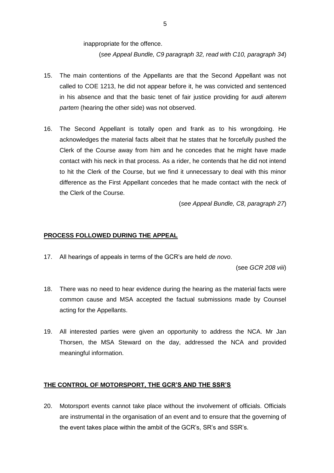inappropriate for the offence.

(*see Appeal Bundle, C9 paragraph 32, read with C10, paragraph 34*)

- 15. The main contentions of the Appellants are that the Second Appellant was not called to COE 1213, he did not appear before it, he was convicted and sentenced in his absence and that the basic tenet of fair justice providing for *audi alterem partem* (hearing the other side) was not observed.
- 16. The Second Appellant is totally open and frank as to his wrongdoing. He acknowledges the material facts albeit that he states that he forcefully pushed the Clerk of the Course away from him and he concedes that he might have made contact with his neck in that process. As a rider, he contends that he did not intend to hit the Clerk of the Course, but we find it unnecessary to deal with this minor difference as the First Appellant concedes that he made contact with the neck of the Clerk of the Course.

(*see Appeal Bundle, C8, paragraph 27*)

## **PROCESS FOLLOWED DURING THE APPEAL**

17. All hearings of appeals in terms of the GCR's are held *de novo*.

(see *GCR 208 viii*)

- 18. There was no need to hear evidence during the hearing as the material facts were common cause and MSA accepted the factual submissions made by Counsel acting for the Appellants.
- 19. All interested parties were given an opportunity to address the NCA. Mr Jan Thorsen, the MSA Steward on the day, addressed the NCA and provided meaningful information.

## **THE CONTROL OF MOTORSPORT, THE GCR'S AND THE SSR'S**

20. Motorsport events cannot take place without the involvement of officials. Officials are instrumental in the organisation of an event and to ensure that the governing of the event takes place within the ambit of the GCR's, SR's and SSR's.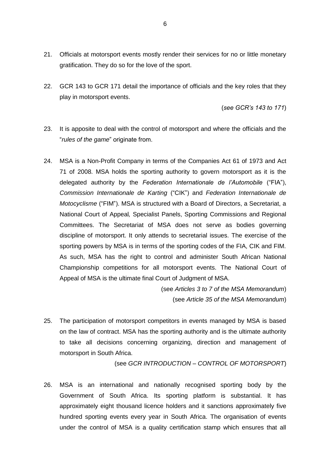- 21. Officials at motorsport events mostly render their services for no or little monetary gratification. They do so for the love of the sport.
- 22. GCR 143 to GCR 171 detail the importance of officials and the key roles that they play in motorsport events.

(*see GCR's 143 to 171*)

- 23. It is apposite to deal with the control of motorsport and where the officials and the "*rules of the game*" originate from.
- 24. MSA is a Non-Profit Company in terms of the Companies Act 61 of 1973 and Act 71 of 2008. MSA holds the sporting authority to govern motorsport as it is the delegated authority by the *Federation Internationale de l'Automobile* ("FIA"), *Commission Internationale de Karting* ("CIK") and *Federation Internationale de Motocyclisme* ("FIM"). MSA is structured with a Board of Directors, a Secretariat, a National Court of Appeal*,* Specialist Panels, Sporting Commissions and Regional Committees. The Secretariat of MSA does not serve as bodies governing discipline of motorsport. It only attends to secretarial issues. The exercise of the sporting powers by MSA is in terms of the sporting codes of the FIA, CIK and FIM. As such, MSA has the right to control and administer South African National Championship competitions for all motorsport events. The National Court of Appeal of MSA is the ultimate final Court of Judgment of MSA.

(see *Articles 3 to 7 of the MSA Memorandum*) (see *Article 35 of the MSA Memorandum*)

25. The participation of motorsport competitors in events managed by MSA is based on the law of contract. MSA has the sporting authority and is the ultimate authority to take all decisions concerning organizing, direction and management of motorsport in South Africa.

(see *GCR INTRODUCTION – CONTROL OF MOTORSPORT*)

26. MSA is an international and nationally recognised sporting body by the Government of South Africa. Its sporting platform is substantial. It has approximately eight thousand licence holders and it sanctions approximately five hundred sporting events every year in South Africa. The organisation of events under the control of MSA is a quality certification stamp which ensures that all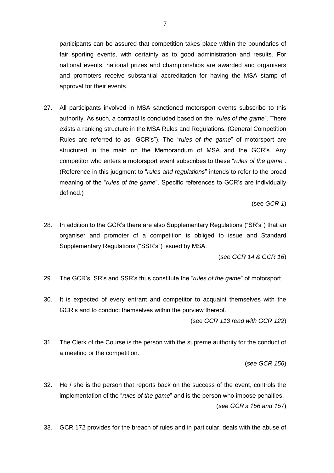participants can be assured that competition takes place within the boundaries of fair sporting events, with certainty as to good administration and results. For national events, national prizes and championships are awarded and organisers and promoters receive substantial accreditation for having the MSA stamp of approval for their events.

27. All participants involved in MSA sanctioned motorsport events subscribe to this authority. As such, a contract is concluded based on the "*rules of the game*". There exists a ranking structure in the MSA Rules and Regulations. (General Competition Rules are referred to as "GCR's"). The "*rules of the game*" of motorsport are structured in the main on the Memorandum of MSA and the GCR's. Any competitor who enters a motorsport event subscribes to these "*rules of the game*". (Reference in this judgment to "*rules and regulations*" intends to refer to the broad meaning of the "*rules of the game*". Specific references to GCR's are individually defined.)

(see *GCR 1*)

28. In addition to the GCR's there are also Supplementary Regulations ("SR's") that an organiser and promoter of a competition is obliged to issue and Standard Supplementary Regulations ("SSR's") issued by MSA.

(*see GCR 14 & GCR 16*)

- 29. The GCR's, SR's and SSR's thus constitute the "*rules of the game*" of motorsport.
- 30. It is expected of every entrant and competitor to acquaint themselves with the GCR's and to conduct themselves within the purview thereof.

(see *GCR 113 read with GCR 122*)

31. The Clerk of the Course is the person with the supreme authority for the conduct of a meeting or the competition.

(*see GCR 156*)

- 32. He / she is the person that reports back on the success of the event, controls the implementation of the "*rules of the game*" and is the person who impose penalties. (*see GCR's 156 and 157*)
- 33. GCR 172 provides for the breach of rules and in particular, deals with the abuse of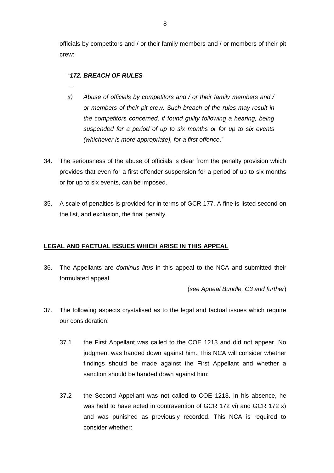officials by competitors and / or their family members and / or members of their pit crew:

## "*172. BREACH OF RULES*

- *…*
- *x) Abuse of officials by competitors and / or their family members and / or members of their pit crew. Such breach of the rules may result in the competitors concerned, if found guilty following a hearing, being suspended for a period of up to six months or for up to six events (whichever is more appropriate), for a first offence*."
- 34. The seriousness of the abuse of officials is clear from the penalty provision which provides that even for a first offender suspension for a period of up to six months or for up to six events, can be imposed.
- 35. A scale of penalties is provided for in terms of GCR 177. A fine is listed second on the list, and exclusion, the final penalty.

## **LEGAL AND FACTUAL ISSUES WHICH ARISE IN THIS APPEAL**

36. The Appellants are *dominus litus* in this appeal to the NCA and submitted their formulated appeal.

(*see Appeal Bundle, C3 and further*)

- 37. The following aspects crystalised as to the legal and factual issues which require our consideration:
	- 37.1 the First Appellant was called to the COE 1213 and did not appear. No judgment was handed down against him. This NCA will consider whether findings should be made against the First Appellant and whether a sanction should be handed down against him;
	- 37.2 the Second Appellant was not called to COE 1213. In his absence, he was held to have acted in contravention of GCR 172 vi) and GCR 172 x) and was punished as previously recorded. This NCA is required to consider whether: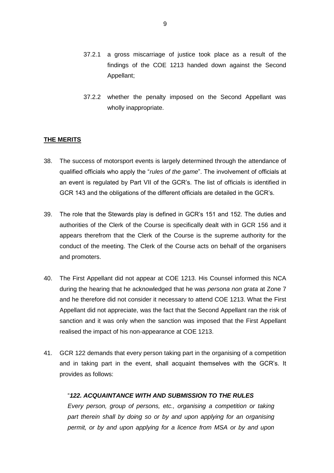- 37.2.1 a gross miscarriage of justice took place as a result of the findings of the COE 1213 handed down against the Second Appellant;
- 37.2.2 whether the penalty imposed on the Second Appellant was wholly inappropriate.

#### **THE MERITS**

- 38. The success of motorsport events is largely determined through the attendance of qualified officials who apply the "*rules of the game*". The involvement of officials at an event is regulated by Part VII of the GCR's. The list of officials is identified in GCR 143 and the obligations of the different officials are detailed in the GCR's.
- 39. The role that the Stewards play is defined in GCR's 151 and 152. The duties and authorities of the Clerk of the Course is specifically dealt with in GCR 156 and it appears therefrom that the Clerk of the Course is the supreme authority for the conduct of the meeting. The Clerk of the Course acts on behalf of the organisers and promoters.
- 40. The First Appellant did not appear at COE 1213. His Counsel informed this NCA during the hearing that he acknowledged that he was *persona non grata* at Zone 7 and he therefore did not consider it necessary to attend COE 1213. What the First Appellant did not appreciate, was the fact that the Second Appellant ran the risk of sanction and it was only when the sanction was imposed that the First Appellant realised the impact of his non-appearance at COE 1213.
- 41. GCR 122 demands that every person taking part in the organising of a competition and in taking part in the event, shall acquaint themselves with the GCR's. It provides as follows:

#### "*122. ACQUAINTANCE WITH AND SUBMISSION TO THE RULES*

*Every person, group of persons, etc., organising a competition or taking*  part therein shall by doing so or by and upon applying for an organising *permit, or by and upon applying for a licence from MSA or by and upon*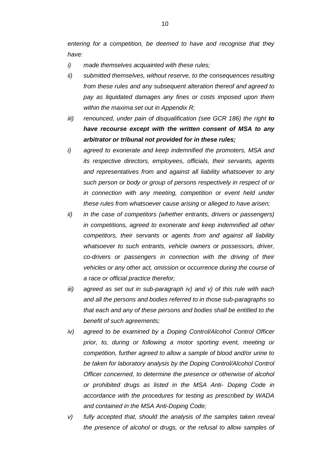*entering for a competition, be deemed to have and recognise that they have:*

- *i) made themselves acquainted with these rules;*
- *ii) submitted themselves, without reserve, to the consequences resulting from these rules and any subsequent alteration thereof and agreed to pay as liquidated damages any fines or costs imposed upon them within the maxima set out in Appendix R;*
- *iii) renounced, under pain of disqualification (see GCR 186) the right to have recourse except with the written consent of MSA to any arbitrator or tribunal not provided for in these rules;*
- *i) agreed to exonerate and keep indemnified the promoters, MSA and its respective directors, employees, officials, their servants, agents and representatives from and against all liability whatsoever to any such person or body or group of persons respectively in respect of or in connection with any meeting, competition or event held under these rules from whatsoever cause arising or alleged to have arisen;*
- *ii) in the case of competitors (whether entrants, drivers or passengers) in competitions, agreed to exonerate and keep indemnified all other competitors, their servants or agents from and against all liability whatsoever to such entrants, vehicle owners or possessors, driver, co-drivers or passengers in connection with the driving of their vehicles or any other act, omission or occurrence during the course of a race or official practice therefor;*
- *iii) agreed as set out in sub-paragraph iv) and v) of this rule with each and all the persons and bodies referred to in those sub-paragraphs so that each and any of these persons and bodies shall be entitled to the benefit of such agreements;*
- *iv) agreed to be examined by a Doping Control/Alcohol Control Officer prior, to, during or following a motor sporting event, meeting or competition, further agreed to allow a sample of blood and/or urine to be taken for laboratory analysis by the Doping Control/Alcohol Control Officer concerned, to determine the presence or otherwise of alcohol or prohibited drugs as listed in the MSA Anti- Doping Code in accordance with the procedures for testing as prescribed by WADA and contained in the MSA Anti-Doping Code;*
- *v) fully accepted that, should the analysis of the samples taken reveal the presence of alcohol or drugs, or the refusal to allow samples of*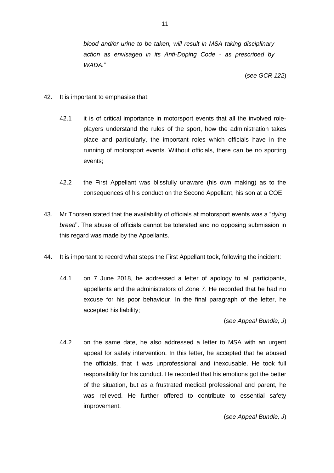*blood and/or urine to be taken, will result in MSA taking disciplinary action as envisaged in its Anti-Doping Code - as prescribed by WADA.*"

(*see GCR 122*)

- 42. It is important to emphasise that:
	- 42.1 it is of critical importance in motorsport events that all the involved roleplayers understand the rules of the sport, how the administration takes place and particularly, the important roles which officials have in the running of motorsport events. Without officials, there can be no sporting events;
	- 42.2 the First Appellant was blissfully unaware (his own making) as to the consequences of his conduct on the Second Appellant, his son at a COE.
- 43. Mr Thorsen stated that the availability of officials at motorsport events was a "*dying breed*". The abuse of officials cannot be tolerated and no opposing submission in this regard was made by the Appellants.
- 44. It is important to record what steps the First Appellant took, following the incident:
	- 44.1 on 7 June 2018, he addressed a letter of apology to all participants, appellants and the administrators of Zone 7. He recorded that he had no excuse for his poor behaviour. In the final paragraph of the letter, he accepted his liability;

#### (*see Appeal Bundle, J*)

44.2 on the same date, he also addressed a letter to MSA with an urgent appeal for safety intervention. In this letter, he accepted that he abused the officials, that it was unprofessional and inexcusable. He took full responsibility for his conduct. He recorded that his emotions got the better of the situation, but as a frustrated medical professional and parent, he was relieved. He further offered to contribute to essential safety improvement.

(*see Appeal Bundle, J*)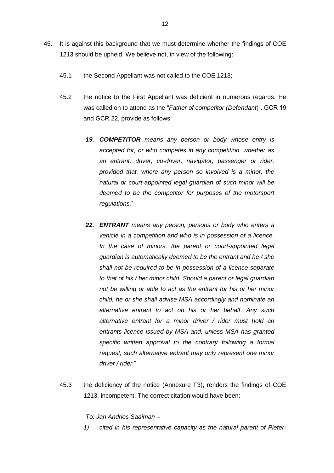- 45. It is against this background that we must determine whether the findings of COE 1213 should be upheld. We believe not, in view of the following:
	- 45.1 the Second Appellant was not called to the COE 1213;
	- 45.2 the notice to the First Appellant was deficient in numerous regards. He was called on to attend as the "*Father of competitor (Defendant*)". GCR 19 and GCR 22, provide as follows:
		- "*19. COMPETITOR means any person or body whose entry is accepted for, or who competes in any competition, whether as an entrant, driver, co-driver, navigator, passenger or rider, provided that, where any person so involved is a minor, the natural or court-appointed legal guardian of such minor will be deemed to be the competitor for purposes of the motorsport regulations.*"
		- "*22. ENTRANT means any person, persons or body who enters a vehicle in a competition and who is in possession of a licence. In the case of minors, the parent or court-appointed legal guardian is automatically deemed to be the entrant and he / she shall not be required to be in possession of a licence separate to that of his / her minor child. Should a parent or legal guardian not be willing or able to act as the entrant for his or her minor child, he or she shall advise MSA accordingly and nominate an alternative entrant to act on his or her behalf. Any such alternative entrant for a minor driver / rider must hold an entrants licence issued by MSA and, unless MSA has granted specific written approval to the contrary following a formal request, such alternative entrant may only represent one minor driver / rider.*"
	- 45.3 the deficiency of the notice (Annexure F3), renders the findings of COE 1213, incompetent. The correct citation would have been:

"*To: Jan Andries Saaiman –*

…

*1) cited in his representative capacity as the natural parent of Pieter-*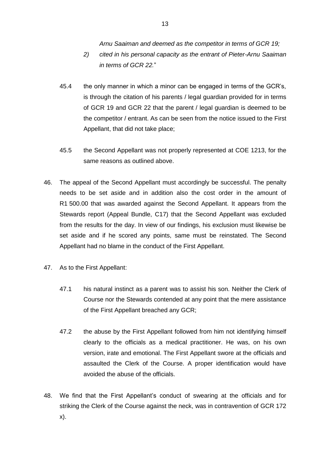*Arnu Saaiman and deemed as the competitor in terms of GCR 19;*

- *2) cited in his personal capacity as the entrant of Pieter-Arnu Saaiman in terms of GCR 22.*"
- 45.4 the only manner in which a minor can be engaged in terms of the GCR's, is through the citation of his parents / legal guardian provided for in terms of GCR 19 and GCR 22 that the parent / legal guardian is deemed to be the competitor / entrant. As can be seen from the notice issued to the First Appellant, that did not take place;
- 45.5 the Second Appellant was not properly represented at COE 1213, for the same reasons as outlined above.
- 46. The appeal of the Second Appellant must accordingly be successful. The penalty needs to be set aside and in addition also the cost order in the amount of R1 500.00 that was awarded against the Second Appellant. It appears from the Stewards report (Appeal Bundle, C17) that the Second Appellant was excluded from the results for the day. In view of our findings, his exclusion must likewise be set aside and if he scored any points, same must be reinstated. The Second Appellant had no blame in the conduct of the First Appellant.
- 47. As to the First Appellant:
	- 47.1 his natural instinct as a parent was to assist his son. Neither the Clerk of Course nor the Stewards contended at any point that the mere assistance of the First Appellant breached any GCR;
	- 47.2 the abuse by the First Appellant followed from him not identifying himself clearly to the officials as a medical practitioner. He was, on his own version, irate and emotional. The First Appellant swore at the officials and assaulted the Clerk of the Course. A proper identification would have avoided the abuse of the officials.
- 48. We find that the First Appellant's conduct of swearing at the officials and for striking the Clerk of the Course against the neck, was in contravention of GCR 172 x).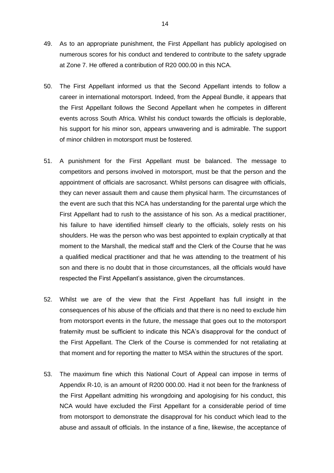- 49. As to an appropriate punishment, the First Appellant has publicly apologised on numerous scores for his conduct and tendered to contribute to the safety upgrade at Zone 7. He offered a contribution of R20 000.00 in this NCA.
- 50. The First Appellant informed us that the Second Appellant intends to follow a career in international motorsport. Indeed, from the Appeal Bundle, it appears that the First Appellant follows the Second Appellant when he competes in different events across South Africa. Whilst his conduct towards the officials is deplorable, his support for his minor son, appears unwavering and is admirable. The support of minor children in motorsport must be fostered.
- 51. A punishment for the First Appellant must be balanced. The message to competitors and persons involved in motorsport, must be that the person and the appointment of officials are sacrosanct. Whilst persons can disagree with officials, they can never assault them and cause them physical harm. The circumstances of the event are such that this NCA has understanding for the parental urge which the First Appellant had to rush to the assistance of his son. As a medical practitioner, his failure to have identified himself clearly to the officials, solely rests on his shoulders. He was the person who was best appointed to explain cryptically at that moment to the Marshall, the medical staff and the Clerk of the Course that he was a qualified medical practitioner and that he was attending to the treatment of his son and there is no doubt that in those circumstances, all the officials would have respected the First Appellant's assistance, given the circumstances.
- 52. Whilst we are of the view that the First Appellant has full insight in the consequences of his abuse of the officials and that there is no need to exclude him from motorsport events in the future, the message that goes out to the motorsport fraternity must be sufficient to indicate this NCA's disapproval for the conduct of the First Appellant. The Clerk of the Course is commended for not retaliating at that moment and for reporting the matter to MSA within the structures of the sport.
- 53. The maximum fine which this National Court of Appeal can impose in terms of Appendix R-10, is an amount of R200 000.00. Had it not been for the frankness of the First Appellant admitting his wrongdoing and apologising for his conduct, this NCA would have excluded the First Appellant for a considerable period of time from motorsport to demonstrate the disapproval for his conduct which lead to the abuse and assault of officials. In the instance of a fine, likewise, the acceptance of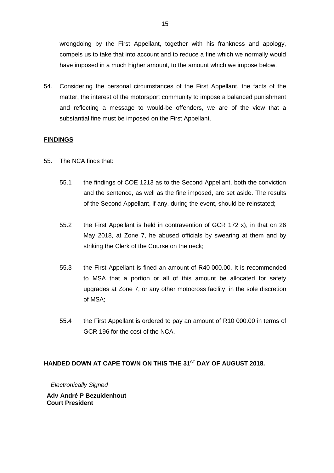wrongdoing by the First Appellant, together with his frankness and apology, compels us to take that into account and to reduce a fine which we normally would have imposed in a much higher amount, to the amount which we impose below.

54. Considering the personal circumstances of the First Appellant, the facts of the matter, the interest of the motorsport community to impose a balanced punishment and reflecting a message to would-be offenders, we are of the view that a substantial fine must be imposed on the First Appellant.

## **FINDINGS**

- 55. The NCA finds that:
	- 55.1 the findings of COE 1213 as to the Second Appellant, both the conviction and the sentence, as well as the fine imposed, are set aside. The results of the Second Appellant, if any, during the event, should be reinstated;
	- 55.2 the First Appellant is held in contravention of GCR 172 x), in that on 26 May 2018, at Zone 7, he abused officials by swearing at them and by striking the Clerk of the Course on the neck;
	- 55.3 the First Appellant is fined an amount of R40 000.00. It is recommended to MSA that a portion or all of this amount be allocated for safety upgrades at Zone 7, or any other motocross facility, in the sole discretion of MSA;
	- 55.4 the First Appellant is ordered to pay an amount of R10 000.00 in terms of GCR 196 for the cost of the NCA.

## **HANDED DOWN AT CAPE TOWN ON THIS THE 31 ST DAY OF AUGUST 2018.**

 *Electronically Signed*

**Adv André P Bezuidenhout Court President**